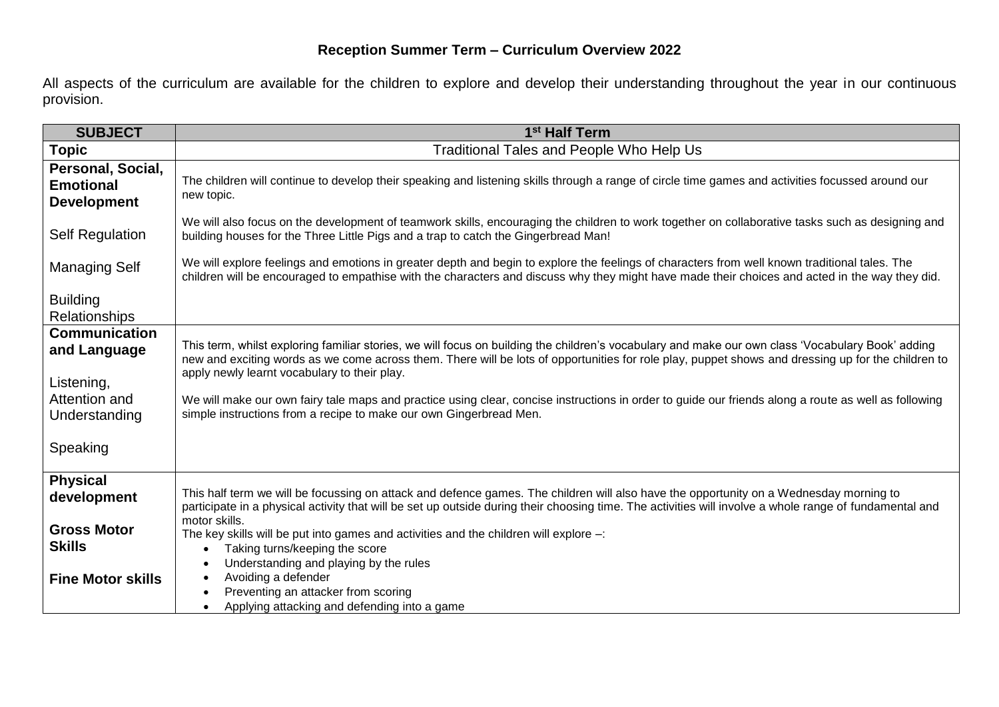## **Reception Summer Term – Curriculum Overview 2022**

All aspects of the curriculum are available for the children to explore and develop their understanding throughout the year in our continuous provision.

| <b>SUBJECT</b>                                                                                    | 1 <sup>st</sup> Half Term                                                                                                                                                                                                                                                                                                                                                                                                                                                                                                                                                                                                                       |
|---------------------------------------------------------------------------------------------------|-------------------------------------------------------------------------------------------------------------------------------------------------------------------------------------------------------------------------------------------------------------------------------------------------------------------------------------------------------------------------------------------------------------------------------------------------------------------------------------------------------------------------------------------------------------------------------------------------------------------------------------------------|
| Topic                                                                                             | Traditional Tales and People Who Help Us                                                                                                                                                                                                                                                                                                                                                                                                                                                                                                                                                                                                        |
| Personal, Social,<br><b>Emotional</b><br><b>Development</b>                                       | The children will continue to develop their speaking and listening skills through a range of circle time games and activities focussed around our<br>new topic.                                                                                                                                                                                                                                                                                                                                                                                                                                                                                 |
| <b>Self Regulation</b>                                                                            | We will also focus on the development of teamwork skills, encouraging the children to work together on collaborative tasks such as designing and<br>building houses for the Three Little Pigs and a trap to catch the Gingerbread Man!                                                                                                                                                                                                                                                                                                                                                                                                          |
| <b>Managing Self</b>                                                                              | We will explore feelings and emotions in greater depth and begin to explore the feelings of characters from well known traditional tales. The<br>children will be encouraged to empathise with the characters and discuss why they might have made their choices and acted in the way they did.                                                                                                                                                                                                                                                                                                                                                 |
| <b>Building</b><br><b>Relationships</b>                                                           |                                                                                                                                                                                                                                                                                                                                                                                                                                                                                                                                                                                                                                                 |
| <b>Communication</b><br>and Language<br>Listening,<br>Attention and<br>Understanding<br>Speaking  | This term, whilst exploring familiar stories, we will focus on building the children's vocabulary and make our own class 'Vocabulary Book' adding<br>new and exciting words as we come across them. There will be lots of opportunities for role play, puppet shows and dressing up for the children to<br>apply newly learnt vocabulary to their play.<br>We will make our own fairy tale maps and practice using clear, concise instructions in order to guide our friends along a route as well as following<br>simple instructions from a recipe to make our own Gingerbread Men.                                                           |
| <b>Physical</b><br>development<br><b>Gross Motor</b><br><b>Skills</b><br><b>Fine Motor skills</b> | This half term we will be focussing on attack and defence games. The children will also have the opportunity on a Wednesday morning to<br>participate in a physical activity that will be set up outside during their choosing time. The activities will involve a whole range of fundamental and<br>motor skills.<br>The key skills will be put into games and activities and the children will explore $-$ :<br>Taking turns/keeping the score<br>$\bullet$<br>Understanding and playing by the rules<br>$\bullet$<br>Avoiding a defender<br>Preventing an attacker from scoring<br>Applying attacking and defending into a game<br>$\bullet$ |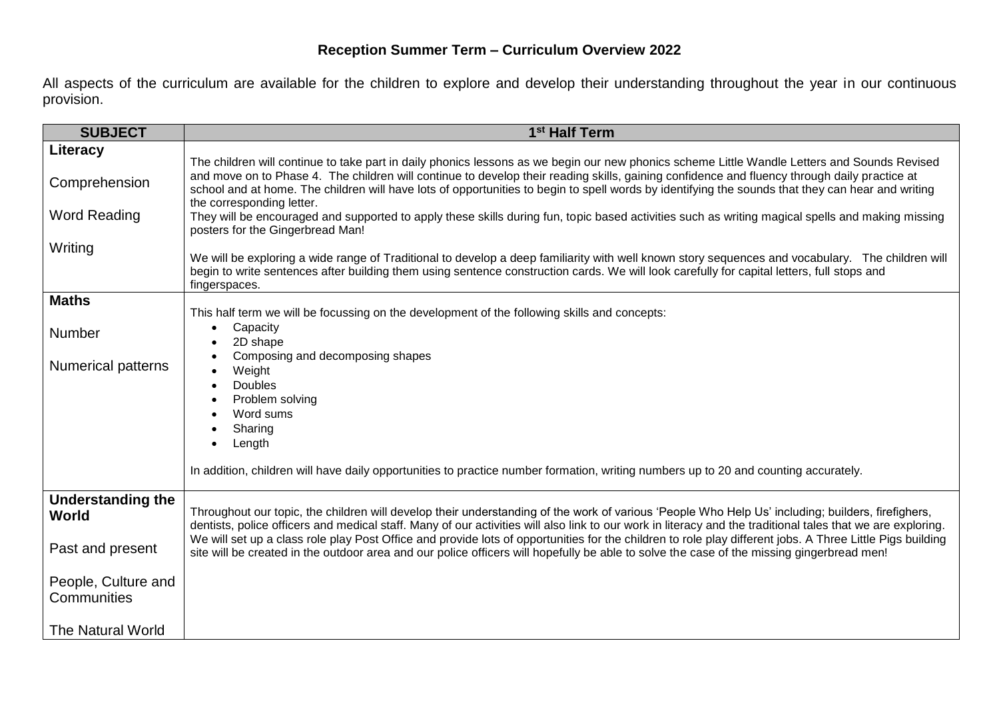All aspects of the curriculum are available for the children to explore and develop their understanding throughout the year in our continuous provision.

| <b>SUBJECT</b>                                      | 1 <sup>st</sup> Half Term                                                                                                                                                                                                                                                                                                                                                                                                                                                                               |
|-----------------------------------------------------|---------------------------------------------------------------------------------------------------------------------------------------------------------------------------------------------------------------------------------------------------------------------------------------------------------------------------------------------------------------------------------------------------------------------------------------------------------------------------------------------------------|
| Literacy<br>Comprehension<br><b>Word Reading</b>    | The children will continue to take part in daily phonics lessons as we begin our new phonics scheme Little Wandle Letters and Sounds Revised<br>and move on to Phase 4. The children will continue to develop their reading skills, gaining confidence and fluency through daily practice at<br>school and at home. The children will have lots of opportunities to begin to spell words by identifying the sounds that they can hear and writing<br>the corresponding letter.                          |
| Writing                                             | They will be encouraged and supported to apply these skills during fun, topic based activities such as writing magical spells and making missing<br>posters for the Gingerbread Man!<br>We will be exploring a wide range of Traditional to develop a deep familiarity with well known story sequences and vocabulary. The children will<br>begin to write sentences after building them using sentence construction cards. We will look carefully for capital letters, full stops and<br>fingerspaces. |
| <b>Maths</b><br>Number<br><b>Numerical patterns</b> | This half term we will be focussing on the development of the following skills and concepts:<br>Capacity<br>$\bullet$<br>2D shape<br>Composing and decomposing shapes<br>Weight<br><b>Doubles</b><br>Problem solving<br>Word sums<br>Sharing<br>Length                                                                                                                                                                                                                                                  |
|                                                     | In addition, children will have daily opportunities to practice number formation, writing numbers up to 20 and counting accurately.                                                                                                                                                                                                                                                                                                                                                                     |
| <b>Understanding the</b><br><b>World</b>            | Throughout our topic, the children will develop their understanding of the work of various 'People Who Help Us' including; builders, firefighers,<br>dentists, police officers and medical staff. Many of our activities will also link to our work in literacy and the traditional tales that we are exploring.                                                                                                                                                                                        |
| Past and present                                    | We will set up a class role play Post Office and provide lots of opportunities for the children to role play different jobs. A Three Little Pigs building<br>site will be created in the outdoor area and our police officers will hopefully be able to solve the case of the missing gingerbread men!                                                                                                                                                                                                  |
| People, Culture and<br>Communities                  |                                                                                                                                                                                                                                                                                                                                                                                                                                                                                                         |
| The Natural World                                   |                                                                                                                                                                                                                                                                                                                                                                                                                                                                                                         |